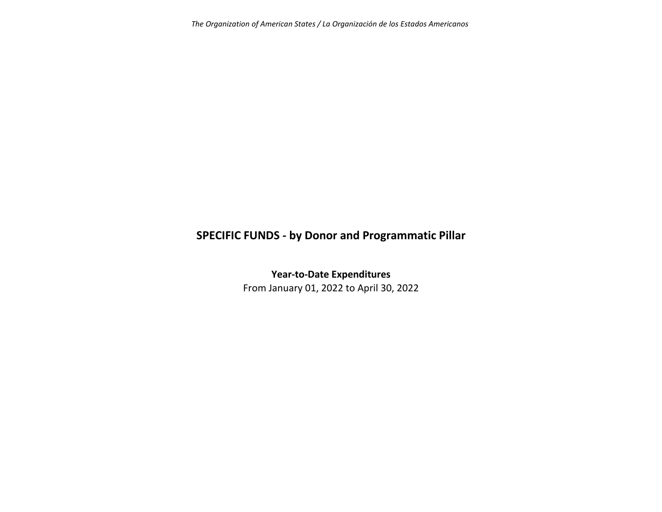*The Organization of American States / La Organización de los Estados Americanos*

# **SPECIFIC FUNDS ‐ by Donor and Programmatic Pillar**

**Year‐to‐Date Expenditures**

From January 01, 2022 to April 30, 2022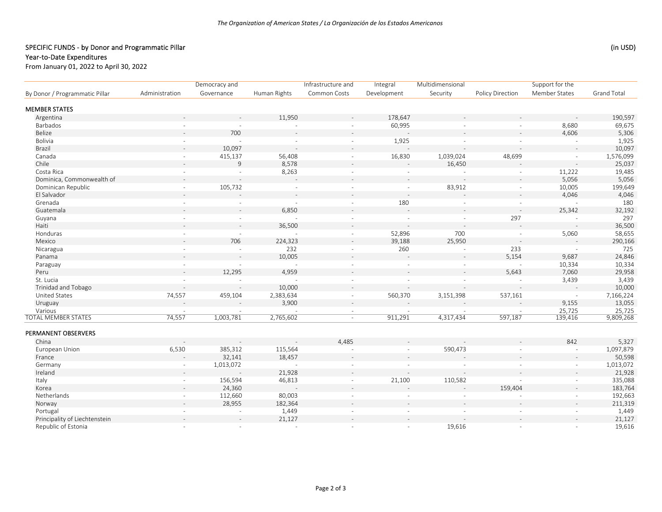## SPECIFIC FUNDS - by Donor and Programmatic Pillar (in USD) (in USD)

### Year‐to‐Date Expenditures

From January 01, 2022 to April 30, 2022

| By Donor / Programmatic Pillar | Democracy and            |                | Infrastructure and |                          | Integral    | Multidimensional | Support for the  |                          |                    |
|--------------------------------|--------------------------|----------------|--------------------|--------------------------|-------------|------------------|------------------|--------------------------|--------------------|
|                                | Administration           | Governance     | Human Rights       | Common Costs             | Development | Security         | Policy Direction | Member States            | <b>Grand Total</b> |
| <b>MEMBER STATES</b>           |                          |                |                    |                          |             |                  |                  |                          |                    |
| Argentina                      |                          |                | 11,950             |                          | 178,647     |                  |                  |                          | 190,597            |
| Barbados                       |                          |                | $\sim$             |                          | 60,995      |                  |                  | 8,680                    | 69,675             |
| Belize                         |                          | 700            |                    |                          |             |                  |                  | 4,606                    | 5,306              |
| Bolivia                        | ÷                        | $\overline{a}$ | $\sim$             | $\sim$                   | 1,925       |                  |                  | $\overline{a}$           | 1,925              |
| Brazil                         |                          | 10,097         | $\sim$             |                          |             |                  |                  |                          | 10,097             |
| Canada                         | $\overline{\phantom{a}}$ | 415,137        | 56,408             | $\blacksquare$           | 16,830      | 1,039,024        | 48,699           | $\overline{\phantom{a}}$ | 1,576,099          |
| Chile                          |                          | 9              | 8,578              |                          |             | 16,450           |                  |                          | 25,037             |
| Costa Rica                     | ÷                        | $\sim$         | 8,263              |                          | $\sim$      |                  |                  | 11,222                   | 19,485             |
| Dominica, Commonwealth of      |                          |                |                    |                          |             |                  |                  | 5,056                    | 5,056              |
| Dominican Republic             | $\overline{\phantom{a}}$ | 105,732        | $\sim$             | $\overline{\phantom{a}}$ | $\sim$      | 83,912           |                  | 10,005                   | 199,649            |
| El Salvador                    |                          |                |                    |                          |             |                  |                  | 4,046                    | 4,046              |
| Grenada                        | $\overline{\phantom{a}}$ | $\sim$         | $\sim$             | $\sim$                   | 180         |                  |                  | ÷.                       | 180                |
| Guatemala                      |                          |                | 6,850              |                          |             |                  |                  | 25,342                   | 32,192             |
| Guyana                         | $\mathbf{r}$             | $\sim$         | $\sim$             | $\equiv$                 | $\sim$      | $\sim$           | 297              | $\sim$                   | 297                |
| Haiti                          |                          |                | 36,500             |                          |             |                  |                  |                          | 36,500             |
| Honduras                       | $\overline{\phantom{a}}$ |                | $\sim$             |                          | 52,896      | 700              |                  | 5,060                    | 58,655             |
| Mexico                         |                          | 706            | 224,323            |                          | 39,188      | 25,950           |                  |                          | 290,166            |
| Nicaragua                      | $\overline{\phantom{a}}$ | $\sim$         | 232                | $\sim$                   | 260         | $\sim$           | 233              | $\overline{\phantom{a}}$ | 725                |
| Panama                         |                          | $\sim$         | 10,005             |                          |             |                  | 5,154            | 9,687                    | 24,846             |
| Paraguay                       | $\sim$                   | $\sim$         | $\sim$             | $\blacksquare$           | $\sim$      | $\sim$           | $\sim$           | 10,334                   | 10,334             |
| Peru                           | $\overline{a}$           | 12,295         | 4,959              |                          |             |                  | 5,643            | 7,060                    | 29,958             |
| St. Lucia                      |                          | $\sim$         | $\sim$             |                          | $\sim$      |                  | $\sim$           | 3,439                    | 3,439              |
| <b>Trinidad and Tobago</b>     |                          |                | 10,000             |                          |             |                  |                  |                          | 10,000             |
| United States                  | 74,557                   | 459,104        | 2,383,634          | $\blacksquare$           | 560,370     | 3,151,398        | 537,161          | $\sim$                   | 7,166,224          |
| Uruguay                        |                          |                | 3,900              |                          |             |                  |                  | 9,155                    | 13,055             |
| Various                        | $\sim$                   |                |                    |                          |             |                  |                  | 25,725                   | 25,725             |
| <b>TOTAL MEMBER STATES</b>     | 74,557                   | 1,003,781      | 2,765,602          | $\omega$                 | 911,291     | 4,317,434        | 597,187          | 139,416                  | 9,809,268          |
| PERMANENT OBSERVERS            |                          |                |                    |                          |             |                  |                  |                          |                    |
| China                          |                          |                | $\sim$             | 4,485                    |             |                  |                  | 842                      | 5,327              |
| European Union                 | 6,530                    | 385,312        | 115,564            |                          | $\omega$    | 590,473          |                  | $\sim$                   | 1,097,879          |
| France                         |                          | 32,141         | 18,457             |                          |             |                  |                  |                          | 50,598             |
| Germany                        | $\overline{\phantom{a}}$ | 1,013,072      | $\sim$             |                          |             |                  |                  | $\overline{\phantom{a}}$ | 1,013,072          |
| Ireland                        |                          |                | 21,928             |                          |             |                  |                  |                          | 21,928             |
| Italy                          | $\sim$                   | 156,594        | 46,813             |                          | 21,100      | 110,582          |                  | $\overline{\phantom{a}}$ | 335,088            |
| Korea                          |                          | 24,360         |                    |                          |             |                  | 159,404          |                          | 183,764            |
| Netherlands                    | $\sim$                   | 112,660        | 80,003             | $\overline{\phantom{a}}$ | $\sim$      | $\sim$           | $\sim$           | $\sim$                   | 192,663            |
| Norway                         |                          | 28,955         | 182,364            |                          |             |                  |                  |                          | 211,319            |
| Portugal                       |                          | $\omega$       | 1,449              |                          |             |                  |                  |                          | 1,449              |
| Principality of Liechtenstein  |                          |                | 21,127             |                          |             |                  |                  |                          | 21,127             |
| Republic of Estonia            | $\overline{a}$           | $\sim$         | $\sim$             | $\sim$                   | $\sim$      | 19,616           |                  | $\sim$                   | 19,616             |